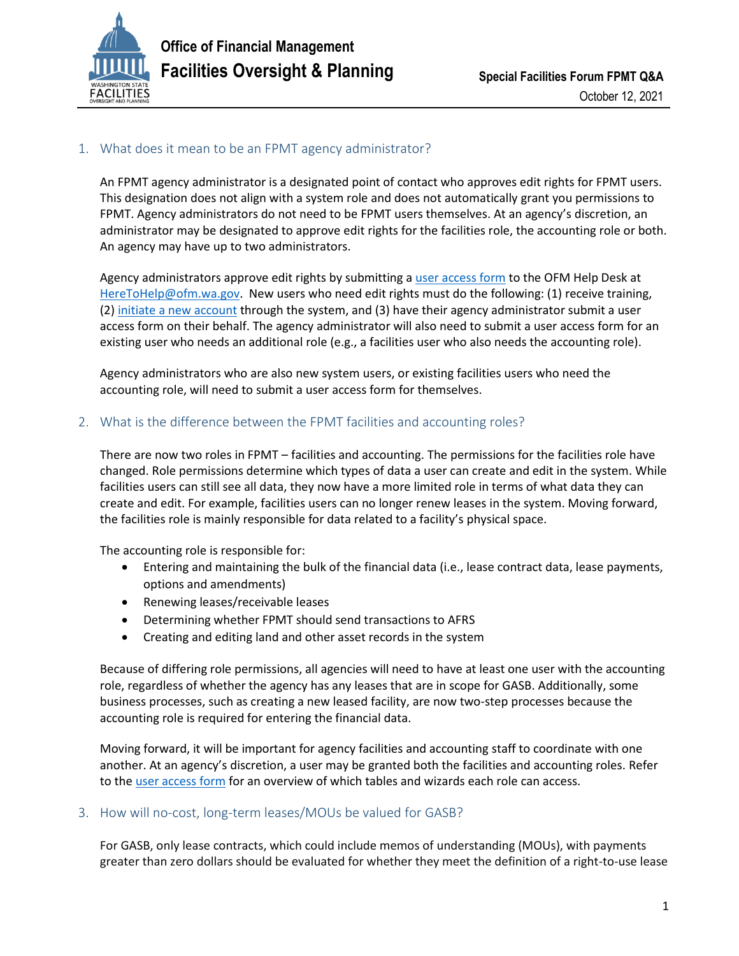

## 1. What does it mean to be an FPMT agency administrator?

An FPMT agency administrator is a designated point of contact who approves edit rights for FPMT users. This designation does not align with a system role and does not automatically grant you permissions to FPMT. Agency administrators do not need to be FPMT users themselves. At an agency's discretion, an administrator may be designated to approve edit rights for the facilities role, the accounting role or both. An agency may have up to two administrators.

Agency administrators approve edit rights by submitting a [user access form](https://ofm.wa.gov/sites/default/files/public/itsystems/FPMT/FPMT_User_Access_Form.pdf) to the OFM Help Desk at [HereToHelp@ofm.wa.gov.](mailto:HereToHelp@ofm.wa.gov) New users who need edit rights must do the following: (1) receive training, (2[\) initiate a new account](https://ofm.wa.gov/sites/default/files/public/itsystems/FPMT/Request%20New%20User%20Account.pdf) through the system, and (3) have their agency administrator submit a user access form on their behalf. The agency administrator will also need to submit a user access form for an existing user who needs an additional role (e.g., a facilities user who also needs the accounting role).

Agency administrators who are also new system users, or existing facilities users who need the accounting role, will need to submit a user access form for themselves.

## 2. What is the difference between the FPMT facilities and accounting roles?

There are now two roles in FPMT – facilities and accounting. The permissions for the facilities role have changed. Role permissions determine which types of data a user can create and edit in the system. While facilities users can still see all data, they now have a more limited role in terms of what data they can create and edit. For example, facilities users can no longer renew leases in the system. Moving forward, the facilities role is mainly responsible for data related to a facility's physical space.

The accounting role is responsible for:

- Entering and maintaining the bulk of the financial data (i.e., lease contract data, lease payments, options and amendments)
- Renewing leases/receivable leases
- Determining whether FPMT should send transactions to AFRS
- Creating and editing land and other asset records in the system

Because of differing role permissions, all agencies will need to have at least one user with the accounting role, regardless of whether the agency has any leases that are in scope for GASB. Additionally, some business processes, such as creating a new leased facility, are now two-step processes because the accounting role is required for entering the financial data.

Moving forward, it will be important for agency facilities and accounting staff to coordinate with one another. At an agency's discretion, a user may be granted both the facilities and accounting roles. Refer to the [user access](https://ofm.wa.gov/sites/default/files/public/itsystems/FPMT/FPMT_User_Access_Form.pdf) form for an overview of which tables and wizards each role can access.

## 3. How will no-cost, long-term leases/MOUs be valued for GASB?

For GASB, only lease contracts, which could include memos of understanding (MOUs), with payments greater than zero dollars should be evaluated for whether they meet the definition of a right-to-use lease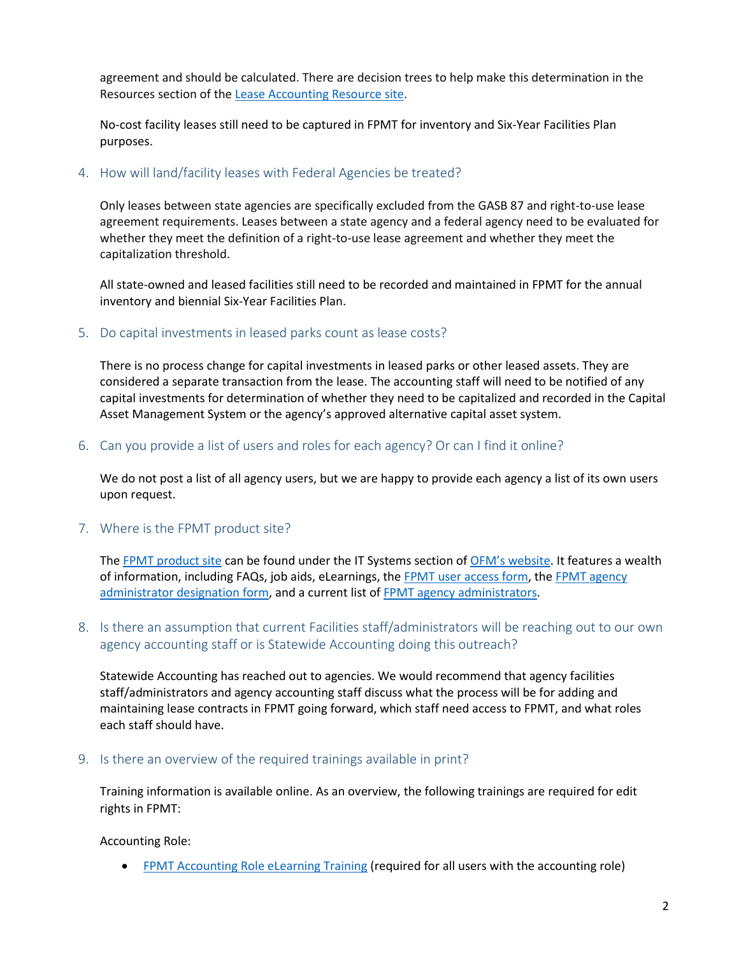agreement and should be calculated. There are decision trees to help make this determination in the Resources section of th[e Lease Accounting Resource site.](https://ofm.wa.gov/accounting/administrative-accounting-resources/leases-gasb-87)

No-cost facility leases still need to be captured in FPMT for inventory and Six-Year Facilities Plan purposes.

## 4. How will land/facility leases with Federal Agencies be treated?

Only leases between state agencies are specifically excluded from the GASB 87 and right-to-use lease agreement requirements. Leases between a state agency and a federal agency need to be evaluated for whether they meet the definition of a right-to-use lease agreement and whether they meet the capitalization threshold.

All state-owned and leased facilities still need to be recorded and maintained in FPMT for the annual inventory and biennial Six-Year Facilities Plan.

#### 5. Do capital investments in leased parks count as lease costs?

There is no process change for capital investments in leased parks or other leased assets. They are considered a separate transaction from the lease. The accounting staff will need to be notified of any capital investments for determination of whether they need to be capitalized and recorded in the Capital Asset Management System or the agency's approved alternative capital asset system.

#### 6. Can you provide a list of users and roles for each agency? Or can I find it online?

We do not post a list of all agency users, but we are happy to provide each agency a list of its own users upon request.

## 7. Where is the FPMT product site?

The [FPMT product site](https://ofm.wa.gov/it-systems/facility-system/facilities-portfolio-management-tool-fpmt) can be found under the IT Systems section of [OFM's website](https://ofm.wa.gov/). It features a wealth of information, including FAQs, job aids, eLearnings, the [FPMT user access form,](https://ofm.wa.gov/sites/default/files/public/itsystems/FPMT/FPMT_User_Access_Form.pdf) the FPMT agency [administrator designation form,](https://ofm.wa.gov/sites/default/files/public/itsystems/FPMT/FPMT_Agency_Admin_Form.pdf) and a current list o[f FPMT agency administrators.](https://ofm.wa.gov/sites/default/files/public/itsystems/FPMT/FPMT%20Agency%20Administrators.xlsx)

## 8. Is there an assumption that current Facilities staff/administrators will be reaching out to our own agency accounting staff or is Statewide Accounting doing this outreach?

Statewide Accounting has reached out to agencies. We would recommend that agency facilities staff/administrators and agency accounting staff discuss what the process will be for adding and maintaining lease contracts in FPMT going forward, which staff need access to FPMT, and what roles each staff should have.

#### 9. Is there an overview of the required trainings available in print?

Training information is available online. As an overview, the following trainings are required for edit rights in FPMT:

Accounting Role:

• [FPMT Accounting Role eLearning Training](https://ofm.wa.gov/it-systems/facility-system/facilities-portfolio-management-tool-fpmt/introduction-fpmt-accounting-users-elearning) (required for all users with the accounting role)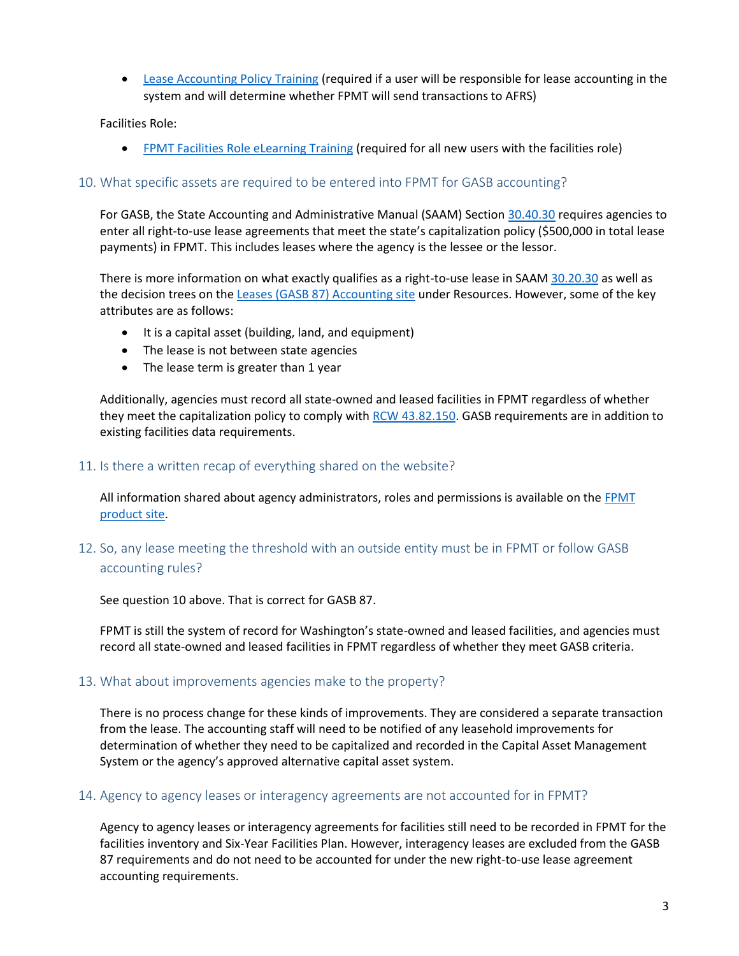**[Lease Accounting Policy Training](https://ofm.wa.gov/sites/default/files/public/articulate/accounting/OFM_Leases_Policies-Accounting_and_Admin/story.html) (required if a user will be responsible for lease accounting in the** system and will determine whether FPMT will send transactions to AFRS)

Facilities Role:

• [FPMT Facilities Role eLearning Training](https://ofm.wa.gov/it-systems/facility-system/facilities-portfolio-management-tool-fpmt/introduction-fpmt-facilities-users-elearning) (required for all new users with the facilities role)

## 10. What specific assets are required to be entered into FPMT for GASB accounting?

For GASB, the State Accounting and Administrative Manual (SAAM) Section [30.40.30](https://ofm.wa.gov/sites/default/files/public/legacy/policy/30.40.htm#30.40.30) requires agencies to enter all right-to-use lease agreements that meet the state's capitalization policy (\$500,000 in total lease payments) in FPMT. This includes leases where the agency is the lessee or the lessor.

There is more information on what exactly qualifies as a right-to-use lease in SAA[M 30.20.30](https://ofm.wa.gov/sites/default/files/public/legacy/policy/30.20.htm#30.20.30) as well as the decision trees on the [Leases \(GASB 87\)](https://ofm.wa.gov/accounting/administrative-accounting-resources/leases-gasb-87) Accounting site under Resources. However, some of the key attributes are as follows:

- It is a capital asset (building, land, and equipment)
- The lease is not between state agencies
- The lease term is greater than 1 year

Additionally, agencies must record all state-owned and leased facilities in FPMT regardless of whether they meet the capitalization policy to comply wit[h RCW 43.82.150.](https://apps.leg.wa.gov/RCW/default.aspx?cite=43.82.150) GASB requirements are in addition to existing facilities data requirements.

#### 11. Is there a written recap of everything shared on the website?

All information shared about agency administrators, roles and permissions is available on the FPMT [product site.](https://ofm.wa.gov/it-systems/facility-system/facilities-portfolio-management-tool-fpmt)

# 12. So, any lease meeting the threshold with an outside entity must be in FPMT or follow GASB accounting rules?

See question 10 above. That is correct for GASB 87.

FPMT is still the system of record for Washington's state-owned and leased facilities, and agencies must record all state-owned and leased facilities in FPMT regardless of whether they meet GASB criteria.

#### 13. What about improvements agencies make to the property?

There is no process change for these kinds of improvements. They are considered a separate transaction from the lease. The accounting staff will need to be notified of any leasehold improvements for determination of whether they need to be capitalized and recorded in the Capital Asset Management System or the agency's approved alternative capital asset system.

#### 14. Agency to agency leases or interagency agreements are not accounted for in FPMT?

Agency to agency leases or interagency agreements for facilities still need to be recorded in FPMT for the facilities inventory and Six-Year Facilities Plan. However, interagency leases are excluded from the GASB 87 requirements and do not need to be accounted for under the new right-to-use lease agreement accounting requirements.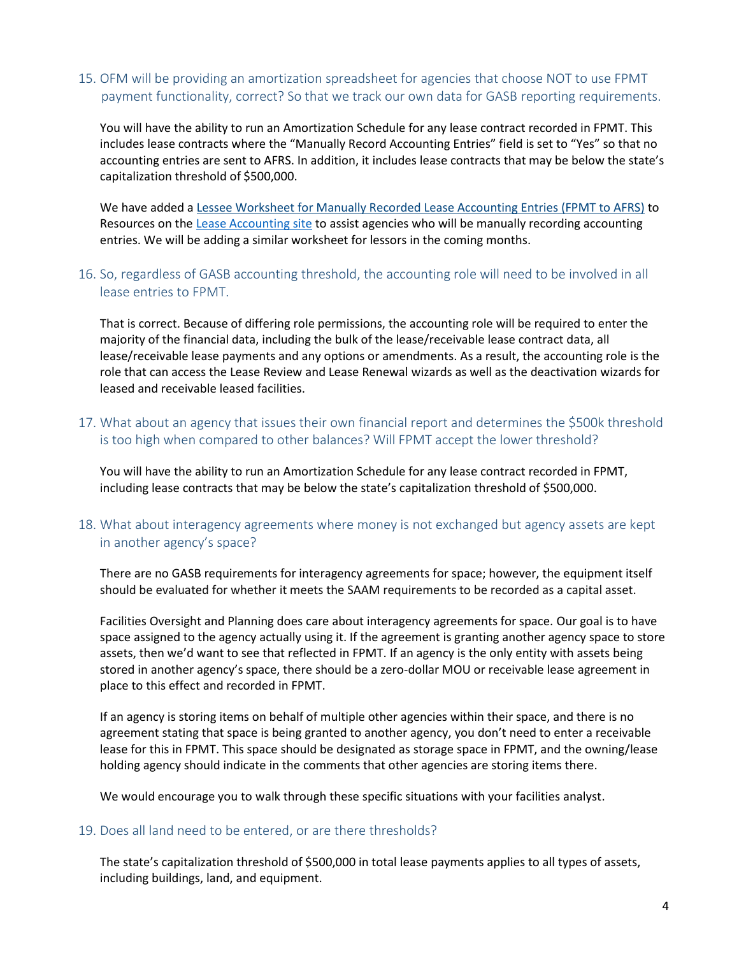## 15. OFM will be providing an amortization spreadsheet for agencies that choose NOT to use FPMT payment functionality, correct? So that we track our own data for GASB reporting requirements.

You will have the ability to run an Amortization Schedule for any lease contract recorded in FPMT. This includes lease contracts where the "Manually Record Accounting Entries" field is set to "Yes" so that no accounting entries are sent to AFRS. In addition, it includes lease contracts that may be below the state's capitalization threshold of \$500,000.

We have added a [Lessee Worksheet for Manually Recorded Lease Accounting Entries \(FPMT to AFRS\)](https://ofm.wa.gov/sites/default/files/public/resources/leases/Manual%20Lease%20Accounting%20Entries%20-%20FPMT%20-%20Lessees.xlsx) to Resources on the [Lease Accounting site](https://ofm.wa.gov/accounting/administrative-accounting-resources/leases-gasb-87) to assist agencies who will be manually recording accounting entries. We will be adding a similar worksheet for lessors in the coming months.

## 16. So, regardless of GASB accounting threshold, the accounting role will need to be involved in all lease entries to FPMT.

That is correct. Because of differing role permissions, the accounting role will be required to enter the majority of the financial data, including the bulk of the lease/receivable lease contract data, all lease/receivable lease payments and any options or amendments. As a result, the accounting role is the role that can access the Lease Review and Lease Renewal wizards as well as the deactivation wizards for leased and receivable leased facilities.

17. What about an agency that issues their own financial report and determines the \$500k threshold is too high when compared to other balances? Will FPMT accept the lower threshold?

You will have the ability to run an Amortization Schedule for any lease contract recorded in FPMT, including lease contracts that may be below the state's capitalization threshold of \$500,000.

## 18. What about interagency agreements where money is not exchanged but agency assets are kept in another agency's space?

There are no GASB requirements for interagency agreements for space; however, the equipment itself should be evaluated for whether it meets the SAAM requirements to be recorded as a capital asset.

Facilities Oversight and Planning does care about interagency agreements for space. Our goal is to have space assigned to the agency actually using it. If the agreement is granting another agency space to store assets, then we'd want to see that reflected in FPMT. If an agency is the only entity with assets being stored in another agency's space, there should be a zero-dollar MOU or receivable lease agreement in place to this effect and recorded in FPMT.

If an agency is storing items on behalf of multiple other agencies within their space, and there is no agreement stating that space is being granted to another agency, you don't need to enter a receivable lease for this in FPMT. This space should be designated as storage space in FPMT, and the owning/lease holding agency should indicate in the comments that other agencies are storing items there.

We would encourage you to walk through these specific situations with your facilities analyst.

#### 19. Does all land need to be entered, or are there thresholds?

The state's capitalization threshold of \$500,000 in total lease payments applies to all types of assets, including buildings, land, and equipment.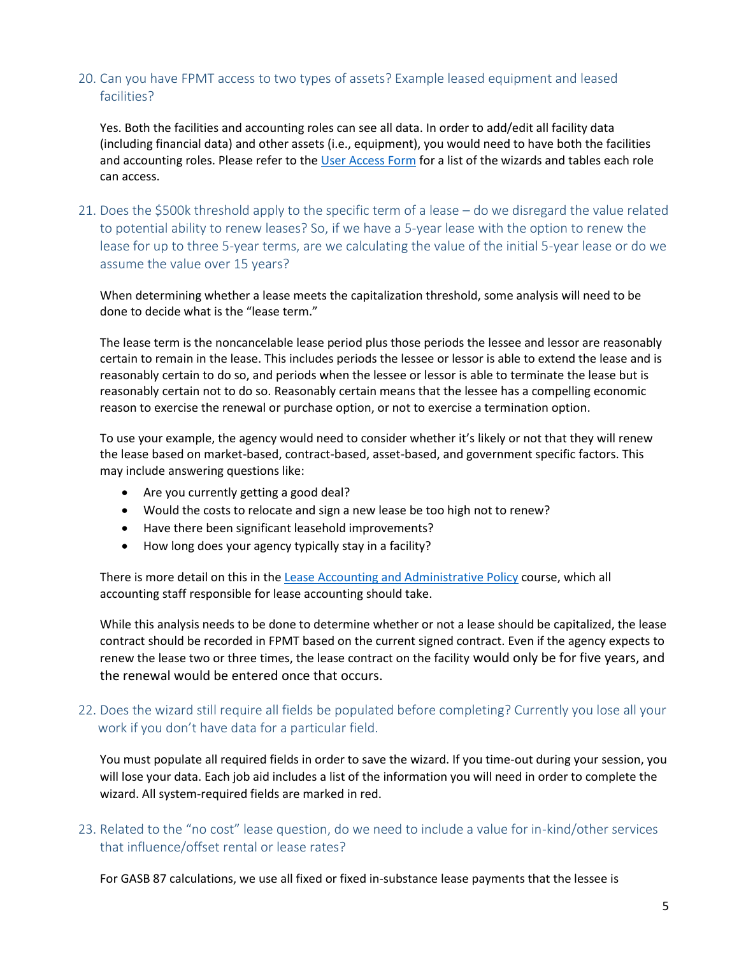## 20. Can you have FPMT access to two types of assets? Example leased equipment and leased facilities?

Yes. Both the facilities and accounting roles can see all data. In order to add/edit all facility data (including financial data) and other assets (i.e., equipment), you would need to have both the facilities and accounting roles. Please refer to the [User Access Form](https://ofm.wa.gov/sites/default/files/public/itsystems/FPMT/FPMT_User_Access_Form.pdf) for a list of the wizards and tables each role can access.

21. Does the \$500k threshold apply to the specific term of a lease – do we disregard the value related to potential ability to renew leases? So, if we have a 5-year lease with the option to renew the lease for up to three 5-year terms, are we calculating the value of the initial 5-year lease or do we assume the value over 15 years?

When determining whether a lease meets the capitalization threshold, some analysis will need to be done to decide what is the "lease term."

The lease term is the noncancelable lease period plus those periods the lessee and lessor are reasonably certain to remain in the lease. This includes periods the lessee or lessor is able to extend the lease and is reasonably certain to do so, and periods when the lessee or lessor is able to terminate the lease but is reasonably certain not to do so. Reasonably certain means that the lessee has a compelling economic reason to exercise the renewal or purchase option, or not to exercise a termination option.

To use your example, the agency would need to consider whether it's likely or not that they will renew the lease based on market-based, contract-based, asset-based, and government specific factors. This may include answering questions like:

- Are you currently getting a good deal?
- Would the costs to relocate and sign a new lease be too high not to renew?
- Have there been significant leasehold improvements?
- How long does your agency typically stay in a facility?

There is more detail on this in th[e Lease Accounting and Administrative Policy](https://ofm.wa.gov/sites/default/files/public/articulate/accounting/OFM_Leases_Policies-Accounting_and_Admin/story.html) course, which all accounting staff responsible for lease accounting should take.

While this analysis needs to be done to determine whether or not a lease should be capitalized, the lease contract should be recorded in FPMT based on the current signed contract. Even if the agency expects to renew the lease two or three times, the lease contract on the facility would only be for five years, and the renewal would be entered once that occurs.

## 22. Does the wizard still require all fields be populated before completing? Currently you lose all your work if you don't have data for a particular field.

You must populate all required fields in order to save the wizard. If you time-out during your session, you will lose your data. Each job aid includes a list of the information you will need in order to complete the wizard. All system-required fields are marked in red.

## 23. Related to the "no cost" lease question, do we need to include a value for in-kind/other services that influence/offset rental or lease rates?

For GASB 87 calculations, we use all fixed or fixed in-substance lease payments that the lessee is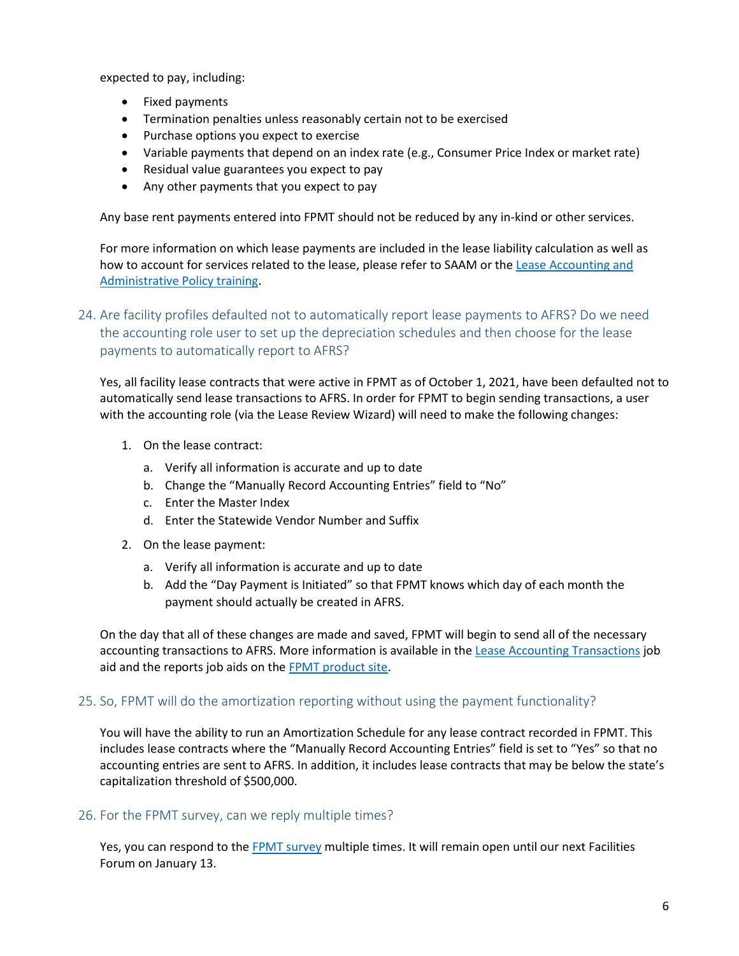expected to pay, including:

- Fixed payments
- Termination penalties unless reasonably certain not to be exercised
- Purchase options you expect to exercise
- Variable payments that depend on an index rate (e.g., Consumer Price Index or market rate)
- Residual value guarantees you expect to pay
- Any other payments that you expect to pay

Any base rent payments entered into FPMT should not be reduced by any in-kind or other services.

For more information on which lease payments are included in the lease liability calculation as well as how to account for services related to the lease, please refer to SAAM or the Lease Accounting and [Administrative Policy training.](https://ofm.wa.gov/sites/default/files/public/articulate/accounting/OFM_Leases_Policies-Accounting_and_Admin/story.html)

# 24. Are facility profiles defaulted not to automatically report lease payments to AFRS? Do we need the accounting role user to set up the depreciation schedules and then choose for the lease payments to automatically report to AFRS?

Yes, all facility lease contracts that were active in FPMT as of October 1, 2021, have been defaulted not to automatically send lease transactions to AFRS. In order for FPMT to begin sending transactions, a user with the accounting role (via the Lease Review Wizard) will need to make the following changes:

- 1. On the lease contract:
	- a. Verify all information is accurate and up to date
	- b. Change the "Manually Record Accounting Entries" field to "No"
	- c. Enter the Master Index
	- d. Enter the Statewide Vendor Number and Suffix
- 2. On the lease payment:
	- a. Verify all information is accurate and up to date
	- b. Add the "Day Payment is Initiated" so that FPMT knows which day of each month the payment should actually be created in AFRS.

On the day that all of these changes are made and saved, FPMT will begin to send all of the necessary accounting transactions to AFRS. More information is available in th[e Lease Accounting Transactions](https://ofm.wa.gov/sites/default/files/public/itsystems/FPMT/Lease%20Accounting%20Transactions.pdf) job aid and the reports job aids on the [FPMT product site.](https://ofm.wa.gov/it-systems/facility-system/facilities-portfolio-management-tool-fpmt)

## 25. So, FPMT will do the amortization reporting without using the payment functionality?

You will have the ability to run an Amortization Schedule for any lease contract recorded in FPMT. This includes lease contracts where the "Manually Record Accounting Entries" field is set to "Yes" so that no accounting entries are sent to AFRS. In addition, it includes lease contracts that may be below the state's capitalization threshold of \$500,000.

## 26. For the FPMT survey, can we reply multiple times?

Yes, you can respond to the [FPMT survey](https://forms.office.com/Pages/ResponsePage.aspx?id=F-LQEU4mCkCLoFfcwSfXLYO51bJK1nRHo3ewoN83XKxUOUUxNk85NE9aV0xJMElTQlVBNU5KT0ZHTS4u) multiple times. It will remain open until our next Facilities Forum on January 13.